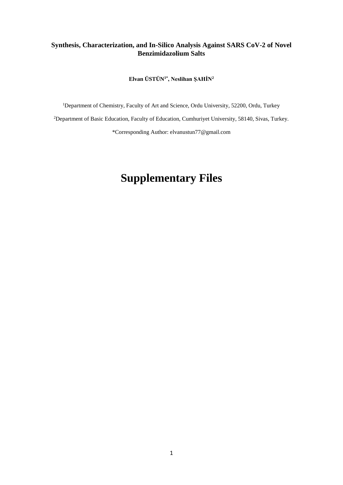## **Synthesis, Characterization, and In-Silico Analysis Against SARS CoV-2 of Novel Benzimidazolium Salts**

**Elvan ÜSTÜN1\*, Neslihan ŞAHİN<sup>2</sup>**

<sup>1</sup>Department of Chemistry, Faculty of Art and Science, Ordu University, 52200, Ordu, Turkey <sup>2</sup>Department of Basic Education, Faculty of Education, Cumhuriyet University, 58140, Sivas, Turkey. \*Corresponding Author: elvanustun77@gmail.com

## **Supplementary Files**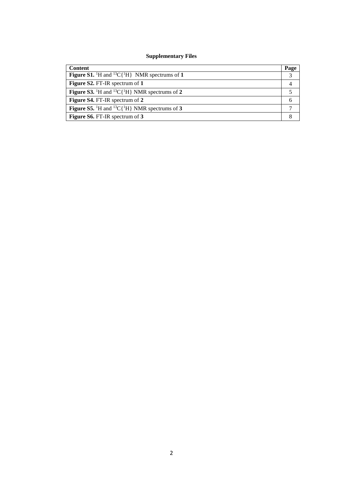## **Supplementary Files**

| <b>Content</b>                                                                           | Page          |
|------------------------------------------------------------------------------------------|---------------|
| <b>Figure S1.</b> <sup>1</sup> H and <sup>13</sup> C{ <sup>1</sup> H} NMR spectrums of 1 | $\mathcal{R}$ |
| Figure S2. FT-IR spectrum of 1                                                           |               |
| <b>Figure S3.</b> <sup>1</sup> H and <sup>13</sup> C{ <sup>1</sup> H} NMR spectrums of 2 |               |
| Figure S4. FT-IR spectrum of 2                                                           |               |
| <b>Figure S5.</b> <sup>1</sup> H and <sup>13</sup> C{ <sup>1</sup> H} NMR spectrums of 3 |               |
| Figure S6. FT-IR spectrum of 3                                                           |               |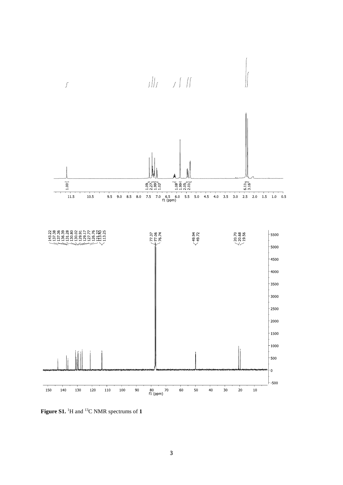

**Figure S1.** 1H and 13C NMR spectrums of **1**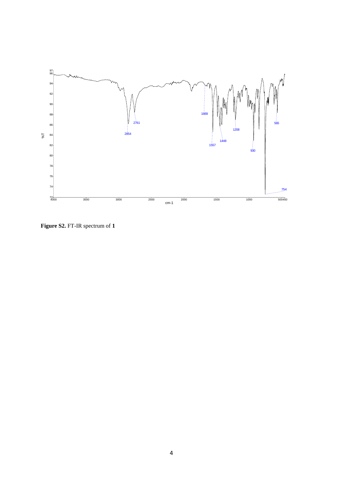

**Figure S2.** FT-IR spectrum of **1**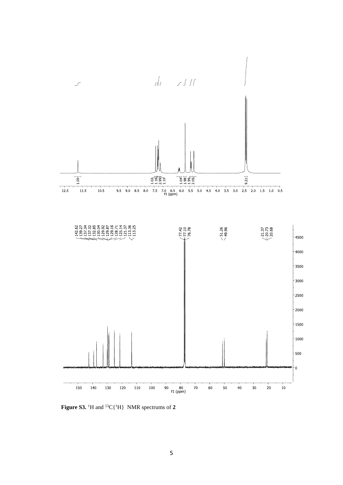

Figure S3. <sup>1</sup>H and <sup>13</sup>C{<sup>1</sup>H} NMR spectrums of 2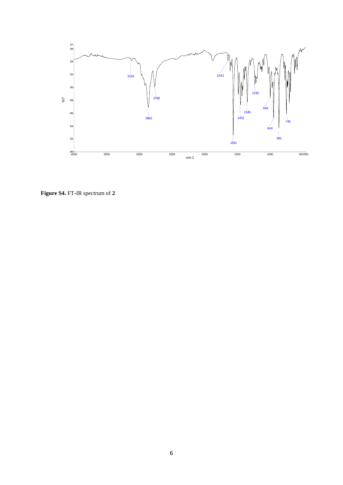

**Figure S4.** FT-IR spectrum of **2**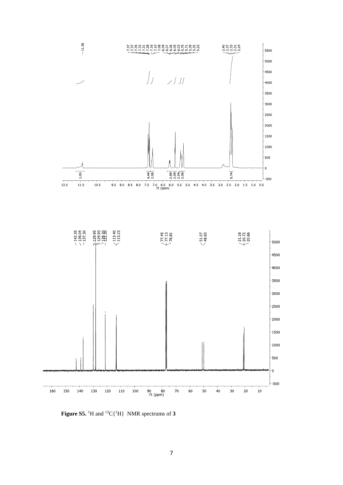

Figure S5. <sup>1</sup>H and <sup>13</sup>C{<sup>1</sup>H} NMR spectrums of 3